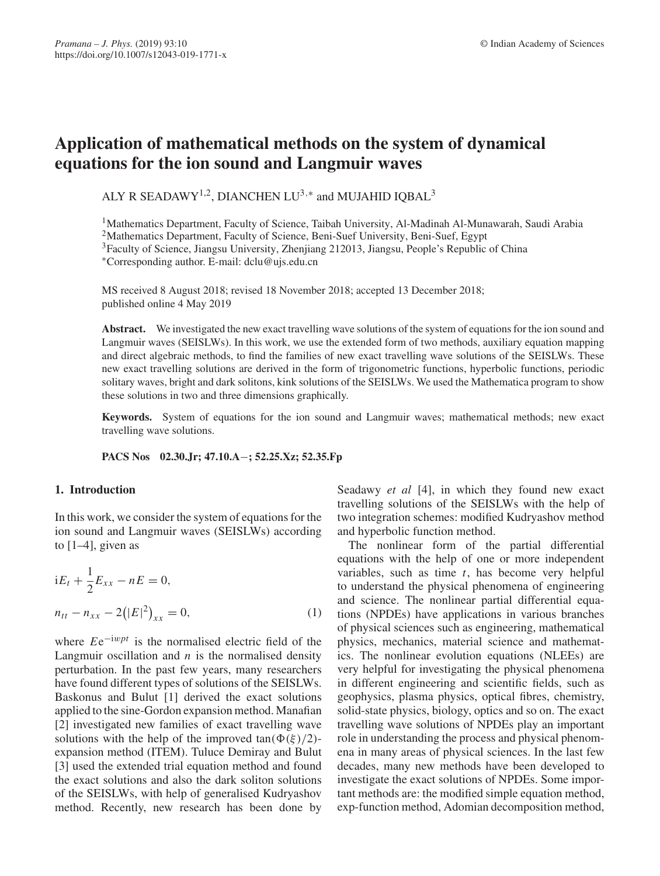# **Application of mathematical methods on the system of dynamical equations for the ion sound and Langmuir waves**

ALY R SEADAWY<sup>1,2</sup>, DIANCHEN LU<sup>3,\*</sup> and MUJAHID IQBAL<sup>3</sup>

1Mathematics Department, Faculty of Science, Taibah University, Al-Madinah Al-Munawarah, Saudi Arabia

<sup>2</sup>Mathematics Department, Faculty of Science, Beni-Suef University, Beni-Suef, Egypt

<sup>3</sup>Faculty of Science, Jiangsu University, Zhenjiang 212013, Jiangsu, People's Republic of China

∗Corresponding author. E-mail: dclu@ujs.edu.cn

MS received 8 August 2018; revised 18 November 2018; accepted 13 December 2018; published online 4 May 2019

**Abstract.** We investigated the new exact travelling wave solutions of the system of equations for the ion sound and Langmuir waves (SEISLWs). In this work, we use the extended form of two methods, auxiliary equation mapping and direct algebraic methods, to find the families of new exact travelling wave solutions of the SEISLWs. These new exact travelling solutions are derived in the form of trigonometric functions, hyperbolic functions, periodic solitary waves, bright and dark solitons, kink solutions of the SEISLWs. We used the Mathematica program to show these solutions in two and three dimensions graphically.

**Keywords.** System of equations for the ion sound and Langmuir waves; mathematical methods; new exact travelling wave solutions.

**PACS Nos 02.30.Jr; 47.10.A**−**; 52.25.Xz; 52.35.Fp**

# **1. Introduction**

In this work, we consider the system of equations for the ion sound and Langmuir waves (SEISLWs) according to  $[1-4]$ , given as

$$
iE_t + \frac{1}{2}E_{xx} - nE = 0,
$$
  

$$
n_{tt} - n_{xx} - 2(|E|^2)_{xx} = 0,
$$
 (1)

where *E*e−iw*pt* is the normalised electric field of the Langmuir oscillation and  $n$  is the normalised density perturbation. In the past few years, many researchers have found different types of solutions of the SEISLWs. Baskonus and Bulut [1] derived the exact solutions applied to the sine-Gordon expansion method. Manafian [2] investigated new families of exact travelling wave solutions with the help of the improved  $tan(\Phi(\xi)/2)$ expansion method (ITEM). Tuluce Demiray and Bulut [3] used the extended trial equation method and found the exact solutions and also the dark soliton solutions of the SEISLWs, with help of generalised Kudryashov method. Recently, new research has been done by Seadawy *et al* [4], in which they found new exact travelling solutions of the SEISLWs with the help of two integration schemes: modified Kudryashov method and hyperbolic function method.

The nonlinear form of the partial differential equations with the help of one or more independent variables, such as time *t*, has become very helpful to understand the physical phenomena of engineering and science. The nonlinear partial differential equations (NPDEs) have applications in various branches of physical sciences such as engineering, mathematical physics, mechanics, material science and mathematics. The nonlinear evolution equations (NLEEs) are very helpful for investigating the physical phenomena in different engineering and scientific fields, such as geophysics, plasma physics, optical fibres, chemistry, solid-state physics, biology, optics and so on. The exact travelling wave solutions of NPDEs play an important role in understanding the process and physical phenomena in many areas of physical sciences. In the last few decades, many new methods have been developed to investigate the exact solutions of NPDEs. Some important methods are: the modified simple equation method, exp-function method, Adomian decomposition method,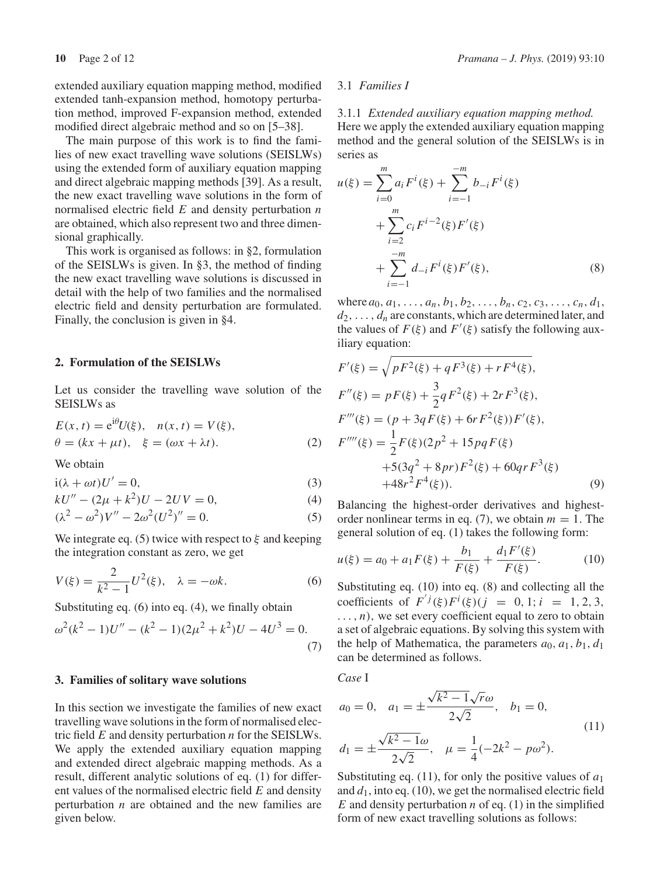extended auxiliary equation mapping method, modified extended tanh-expansion method, homotopy perturbation method, improved F-expansion method, extended modified direct algebraic method and so on [5–38].

The main purpose of this work is to find the families of new exact travelling wave solutions (SEISLWs) using the extended form of auxiliary equation mapping and direct algebraic mapping methods [39]. As a result, the new exact travelling wave solutions in the form of normalised electric field *E* and density perturbation *n* are obtained, which also represent two and three dimensional graphically.

This work is organised as follows: in §2, formulation of the SEISLWs is given. In §3, the method of finding the new exact travelling wave solutions is discussed in detail with the help of two families and the normalised electric field and density perturbation are formulated. Finally, the conclusion is given in §4.

#### **2. Formulation of the SEISLWs**

Let us consider the travelling wave solution of the SEISLWs as

$$
E(x, t) = e^{i\theta}U(\xi), \quad n(x, t) = V(\xi),
$$
  
\n
$$
\theta = (kx + \mu t), \quad \xi = (\omega x + \lambda t).
$$
 (2)

We obtain

$$
i(\lambda + \omega t)U' = 0,\t(3)
$$

$$
kU'' - (2\mu + k^2)U - 2UV = 0,\t\t(4)
$$

$$
(\lambda^2 - \omega^2)V'' - 2\omega^2(U^2)'' = 0.
$$
 (5)

We integrate eq. (5) twice with respect to  $\xi$  and keeping the integration constant as zero, we get

$$
V(\xi) = \frac{2}{k^2 - 1} U^2(\xi), \quad \lambda = -\omega k.
$$
 (6)

Substituting eq. (6) into eq. (4), we finally obtain

$$
\omega^{2}(k^{2} - 1)U'' - (k^{2} - 1)(2\mu^{2} + k^{2})U - 4U^{3} = 0.
$$
\n(7)

#### **3. Families of solitary wave solutions**

In this section we investigate the families of new exact travelling wave solutions in the form of normalised electric field *E* and density perturbation *n* for the SEISLWs. We apply the extended auxiliary equation mapping and extended direct algebraic mapping methods. As a result, different analytic solutions of eq. (1) for different values of the normalised electric field *E* and density perturbation *n* are obtained and the new families are given below.

#### 3.1 *Families I*

3.1.1 *Extended auxiliary equation mapping method.* Here we apply the extended auxiliary equation mapping method and the general solution of the SEISLWs is in series as

$$
u(\xi) = \sum_{i=0}^{m} a_i F^i(\xi) + \sum_{i=-1}^{-m} b_{-i} F^i(\xi)
$$
  
+ 
$$
\sum_{i=2}^{m} c_i F^{i-2}(\xi) F'(\xi)
$$
  
+ 
$$
\sum_{i=-1}^{-m} d_{-i} F^i(\xi) F'(\xi),
$$
 (8)

where  $a_0, a_1, \ldots, a_n, b_1, b_2, \ldots, b_n, c_2, c_3, \ldots, c_n, d_1$  $d_2$ ,...,  $d_n$  are constants, which are determined later, and the values of  $F(\xi)$  and  $F'(\xi)$  satisfy the following auxiliary equation:

$$
F'(\xi) = \sqrt{pF^2(\xi) + qF^3(\xi) + rF^4(\xi)},
$$
  
\n
$$
F''(\xi) = pF(\xi) + \frac{3}{2}qF^2(\xi) + 2rF^3(\xi),
$$
  
\n
$$
F'''(\xi) = (p + 3qF(\xi) + 6rF^2(\xi))F'(\xi),
$$
  
\n
$$
F''''(\xi) = \frac{1}{2}F(\xi)(2p^2 + 15pqF(\xi)) + 5(3q^2 + 8pr)F^2(\xi) + 60qrF^3(\xi) + 48r^2F^4(\xi)).
$$
\n(9)

Balancing the highest-order derivatives and highestorder nonlinear terms in eq. (7), we obtain  $m = 1$ . The general solution of eq. (1) takes the following form:

$$
u(\xi) = a_0 + a_1 F(\xi) + \frac{b_1}{F(\xi)} + \frac{d_1 F'(\xi)}{F(\xi)}.
$$
 (10)

Substituting eq. (10) into eq. (8) and collecting all the coefficients of  $F^{ij}(\xi)F^i(\xi)(j = 0, 1; i = 1, 2, 3,$  $\dots$ , *n*), we set every coefficient equal to zero to obtain a set of algebraic equations. By solving this system with the help of Mathematica, the parameters  $a_0$ ,  $a_1$ ,  $b_1$ ,  $d_1$ can be determined as follows.

*Case* I

$$
a_0 = 0, \quad a_1 = \pm \frac{\sqrt{k^2 - 1}\sqrt{r}\omega}{2\sqrt{2}}, \quad b_1 = 0,
$$
  

$$
d_1 = \pm \frac{\sqrt{k^2 - 1}\omega}{2\sqrt{2}}, \quad \mu = \frac{1}{4}(-2k^2 - p\omega^2).
$$
 (11)

Substituting eq. (11), for only the positive values of *a*<sup>1</sup> and *d*1, into eq. (10), we get the normalised electric field  $E$  and density perturbation  $n$  of eq. (1) in the simplified form of new exact travelling solutions as follows: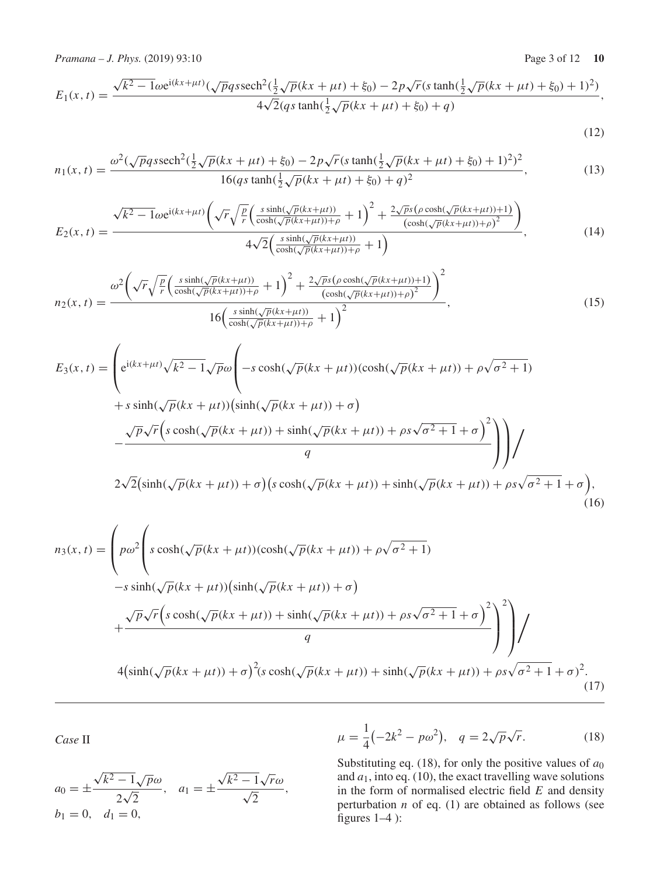*Pramana – J. Phys.* (2019) 93:10 Page 3 of 12 **10** 

$$
E_1(x,t) = \frac{\sqrt{k^2 - 1}\omega e^{i(kx + \mu t)}(\sqrt{p}q\text{ssech}^2(\frac{1}{2}\sqrt{p}(kx + \mu t) + \xi_0) - 2p\sqrt{r}(s\tanh(\frac{1}{2}\sqrt{p}(kx + \mu t) + \xi_0) + 1)^2)}{4\sqrt{2}(q\text{s}\tanh(\frac{1}{2}\sqrt{p}(kx + \mu t) + \xi_0) + q)},
$$

(12)

$$
n_1(x,t) = \frac{\omega^2(\sqrt{p}q\text{ssech}^2(\frac{1}{2}\sqrt{p}(kx + \mu t) + \xi_0) - 2p\sqrt{r}(s\tanh(\frac{1}{2}\sqrt{p}(kx + \mu t) + \xi_0) + 1)^2)^2}{16(qs\tanh(\frac{1}{2}\sqrt{p}(kx + \mu t) + \xi_0) + q)^2},
$$
\n(13)

$$
E_2(x,t) = \frac{\sqrt{k^2 - 1}\omega e^{i(kx + \mu t)}\left(\sqrt{r}\sqrt{\frac{p}{r}}\left(\frac{s\sinh(\sqrt{p}(kx + \mu t))}{\cosh(\sqrt{p}(kx + \mu t)) + \rho} + 1\right)^2 + \frac{2\sqrt{p}s(\rho\cosh(\sqrt{p}(kx + \mu t)) + 1)}{(\cosh(\sqrt{p}(kx + \mu t)) + \rho)^2}\right)}{4\sqrt{2}\left(\frac{s\sinh(\sqrt{p}(kx + \mu t))}{\cosh(\sqrt{p}(kx + \mu t)) + \rho} + 1\right)},
$$
(14)

$$
n_2(x,t) = \frac{\omega^2 \left(\sqrt{r} \sqrt{\frac{p}{r}} \left(\frac{s \sinh(\sqrt{p}(kx+\mu t))}{\cosh(\sqrt{p}(kx+\mu t))+\rho} + 1\right)^2 + \frac{2\sqrt{p}s(\rho \cosh(\sqrt{p}(kx+\mu t))+1)}{(\cosh(\sqrt{p}(kx+\mu t))+\rho)^2}\right)^2}{16\left(\frac{s \sinh(\sqrt{p}(kx+\mu t))}{\cosh(\sqrt{p}(kx+\mu t))+\rho} + 1\right)^2},
$$
\n(15)

$$
E_3(x,t) = \left( e^{i(kx+\mu t)} \sqrt{k^2 - 1} \sqrt{p} \omega \left( -s \cosh(\sqrt{p}(kx + \mu t)) (\cosh(\sqrt{p}(kx + \mu t)) + \rho \sqrt{\sigma^2 + 1}) \right) \right)
$$
  
+  $s \sinh(\sqrt{p}(kx + \mu t)) (\sinh(\sqrt{p}(kx + \mu t)) + \sigma)$   

$$
- \frac{\sqrt{p} \sqrt{r} \left( s \cosh(\sqrt{p}(kx + \mu t)) + \sinh(\sqrt{p}(kx + \mu t)) + \rho s \sqrt{\sigma^2 + 1} + \sigma \right)^2}{q} \right) \Bigg) /
$$
  

$$
2\sqrt{2} (\sinh(\sqrt{p}(kx + \mu t)) + \sigma) (s \cosh(\sqrt{p}(kx + \mu t)) + \sinh(\sqrt{p}(kx + \mu t)) + \rho s \sqrt{\sigma^2 + 1} + \sigma),
$$
(16)

$$
n_3(x,t) = \left( p\omega^2 \left( s \cosh(\sqrt{p}(kx + \mu t)) (\cosh(\sqrt{p}(kx + \mu t)) + \rho \sqrt{\sigma^2 + 1}) -s \sinh(\sqrt{p}(kx + \mu t)) (\sinh(\sqrt{p}(kx + \mu t)) + \sigma) + \frac{\sqrt{p}\sqrt{r}(s \cosh(\sqrt{p}(kx + \mu t)) + \sinh(\sqrt{p}(kx + \mu t)) + \rho s \sqrt{\sigma^2 + 1} + \sigma)^2}{q} \right)^2 \right)
$$
  
4 $(\sinh(\sqrt{p}(kx + \mu t)) + \sigma)^2 (s \cosh(\sqrt{p}(kx + \mu t)) + \sinh(\sqrt{p}(kx + \mu t)) + \rho s \sqrt{\sigma^2 + 1} + \sigma)^2.$  (17)

*Case* II

$$
a_0 = \pm \frac{\sqrt{k^2 - 1}\sqrt{p}\omega}{2\sqrt{2}}, \quad a_1 = \pm \frac{\sqrt{k^2 - 1}\sqrt{r}\omega}{\sqrt{2}}, b_1 = 0, \quad d_1 = 0,
$$

$$
\mu = \frac{1}{4}(-2k^2 - p\omega^2), \quad q = 2\sqrt{p}\sqrt{r}.
$$
 (18)

Substituting eq. (18), for only the positive values of  $a_0$ and  $a_1$ , into eq. (10), the exact travelling wave solutions in the form of normalised electric field *E* and density perturbation *n* of eq. (1) are obtained as follows (see figures 1–4 ):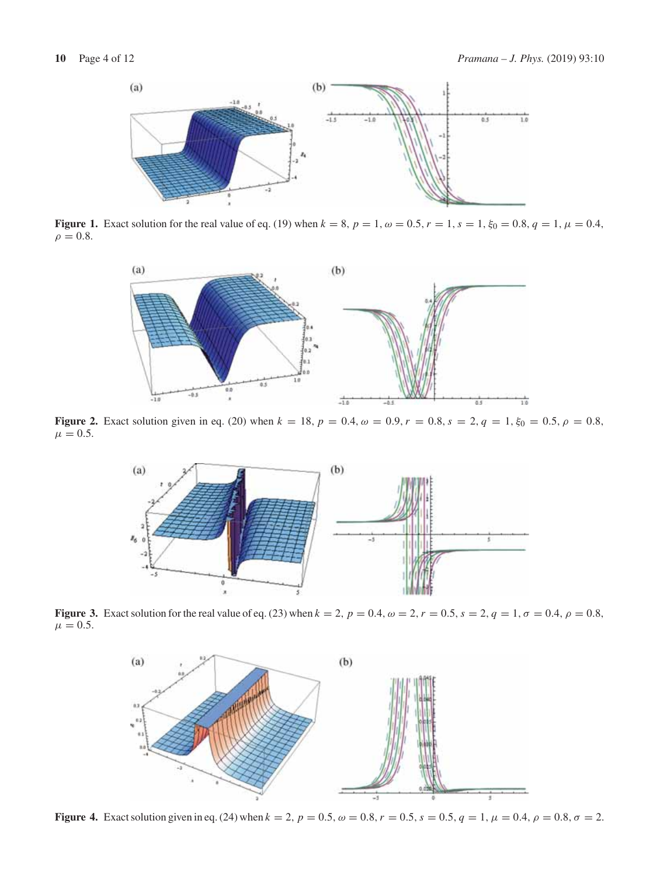

**Figure 1.** Exact solution for the real value of eq. (19) when  $k = 8$ ,  $p = 1$ ,  $\omega = 0.5$ ,  $r = 1$ ,  $s = 1$ ,  $\xi_0 = 0.8$ ,  $q = 1$ ,  $\mu = 0.4$ ,  $\rho = 0.8$ .



**Figure 2.** Exact solution given in eq. (20) when  $k = 18$ ,  $p = 0.4$ ,  $\omega = 0.9$ ,  $r = 0.8$ ,  $s = 2$ ,  $q = 1$ ,  $\xi_0 = 0.5$ ,  $\rho = 0.8$ ,  $\mu = 0.5$ .



**Figure 3.** Exact solution for the real value of eq. (23) when  $k = 2$ ,  $p = 0.4$ ,  $\omega = 2$ ,  $r = 0.5$ ,  $s = 2$ ,  $q = 1$ ,  $\sigma = 0.4$ ,  $\rho = 0.8$ ,  $\mu = 0.5$ .



**Figure 4.** Exact solution given in eq. (24) when  $k = 2$ ,  $p = 0.5$ ,  $\omega = 0.8$ ,  $r = 0.5$ ,  $s = 0.5$ ,  $q = 1$ ,  $\mu = 0.4$ ,  $\rho = 0.8$ ,  $\sigma = 2$ .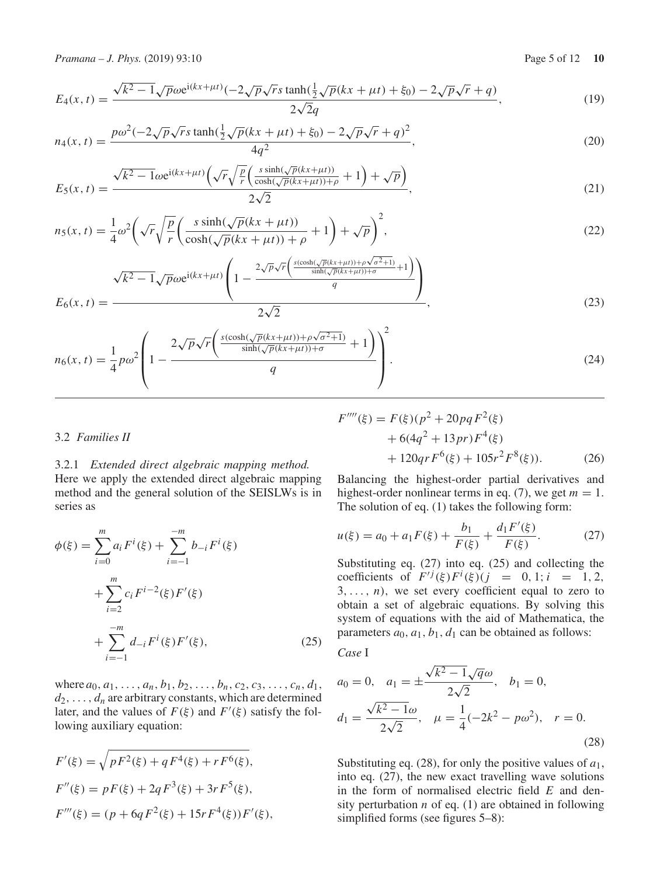*Pramana – J. Phys.* (2019) 93:10 **Page 5 of 12 10** Page 5 of 12 **10** 

$$
E_4(x,t) = \frac{\sqrt{k^2 - 1}\sqrt{p}\omega e^{i(kx + \mu t)}(-2\sqrt{p}\sqrt{r}s\tanh(\frac{1}{2}\sqrt{p}(kx + \mu t) + \xi_0) - 2\sqrt{p}\sqrt{r} + q)}{2\sqrt{2}q},
$$
(19)

$$
n_4(x,t) = \frac{p\omega^2(-2\sqrt{p}\sqrt{r}s\tanh(\frac{1}{2}\sqrt{p}(kx+\mu t)+\xi_0)-2\sqrt{p}\sqrt{r}+q)^2}{4q^2},
$$
\n(20)

$$
E_5(x,t) = \frac{\sqrt{k^2 - 1}\omega e^{i(kx + \mu t)}\left(\sqrt{r}\sqrt{\frac{p}{r}}\left(\frac{s\sinh(\sqrt{p}(kx + \mu t))}{\cosh(\sqrt{p}(kx + \mu t)) + \rho} + 1\right) + \sqrt{p}\right)}{2\sqrt{2}},
$$
\n(21)

$$
n_5(x,t) = \frac{1}{4}\omega^2 \left(\sqrt{r}\sqrt{\frac{p}{r}}\left(\frac{s\sinh(\sqrt{p}(kx+\mu t))}{\cosh(\sqrt{p}(kx+\mu t))+\rho}+1\right)+\sqrt{p}\right)^2,\tag{22}
$$

$$
E_6(x,t) = \frac{\sqrt{k^2 - 1}\sqrt{p}\omega e^{i(kx + \mu t)} \left(1 - \frac{2\sqrt{p}\sqrt{r}\left(\frac{s(\cosh(\sqrt{p}(kx + \mu t)) + \rho\sqrt{\sigma^2 + 1})}{\sinh(\sqrt{p}(kx + \mu t)) + \sigma} + 1\right)}{q}\right)}{2\sqrt{2}},
$$
\n(23)

$$
n_6(x,t) = \frac{1}{4}p\omega^2 \left(1 - \frac{2\sqrt{p}\sqrt{r}\left(\frac{s(\cosh(\sqrt{p}(kx+\mu t)) + \rho\sqrt{\sigma^2+1})}{\sinh(\sqrt{p}(kx+\mu t)) + \sigma} + 1\right)}{q}\right)^2.
$$
\n(24)

#### 3.2 *Families II*

# 3.2.1 *Extended direct algebraic mapping method.*

Here we apply the extended direct algebraic mapping method and the general solution of the SEISLWs is in series as

$$
\phi(\xi) = \sum_{i=0}^{m} a_i F^i(\xi) + \sum_{i=-1}^{-m} b_{-i} F^i(\xi)
$$

$$
+ \sum_{i=2}^{m} c_i F^{i-2}(\xi) F'(\xi)
$$

$$
+ \sum_{i=-1}^{-m} d_{-i} F^i(\xi) F'(\xi), \qquad (25)
$$

where  $a_0, a_1, \ldots, a_n, b_1, b_2, \ldots, b_n, c_2, c_3, \ldots, c_n, d_1$ ,  $d_2$ , ...,  $d_n$  are arbitrary constants, which are determined later, and the values of  $F(\xi)$  and  $F'(\xi)$  satisfy the following auxiliary equation:

$$
F'(\xi) = \sqrt{pF^2(\xi) + qF^4(\xi) + rF^6(\xi)},
$$
  
\n
$$
F''(\xi) = pF(\xi) + 2qF^3(\xi) + 3rF^5(\xi),
$$
  
\n
$$
F'''(\xi) = (p + 6qF^2(\xi) + 15rF^4(\xi))F'(\xi),
$$

$$
F''''(\xi) = F(\xi)(p^2 + 20pqF^2(\xi) + 6(4q^2 + 13pr)F^4(\xi) + 120qrF^6(\xi) + 105r^2F^8(\xi)).
$$
 (26)

Balancing the highest-order partial derivatives and highest-order nonlinear terms in eq. (7), we get  $m = 1$ . The solution of eq. (1) takes the following form:

$$
u(\xi) = a_0 + a_1 F(\xi) + \frac{b_1}{F(\xi)} + \frac{d_1 F'(\xi)}{F(\xi)}.
$$
 (27)

Substituting eq. (27) into eq. (25) and collecting the coefficients of  $F^{ij}(\xi)F^{i}(\xi)(j) = 0, 1; i = 1, 2,$  $3, \ldots, n$ , we set every coefficient equal to zero to obtain a set of algebraic equations. By solving this system of equations with the aid of Mathematica, the parameters  $a_0$ ,  $a_1$ ,  $b_1$ ,  $d_1$  can be obtained as follows:

*Case* I

$$
a_0 = 0, \quad a_1 = \pm \frac{\sqrt{k^2 - 1}\sqrt{q}\omega}{2\sqrt{2}}, \quad b_1 = 0,
$$
  

$$
d_1 = \frac{\sqrt{k^2 - 1}\omega}{2\sqrt{2}}, \quad \mu = \frac{1}{4}(-2k^2 - p\omega^2), \quad r = 0.
$$
 (28)

Substituting eq. (28), for only the positive values of *a*1, into eq. (27), the new exact travelling wave solutions in the form of normalised electric field *E* and density perturbation  $n$  of eq. (1) are obtained in following simplified forms (see figures 5–8):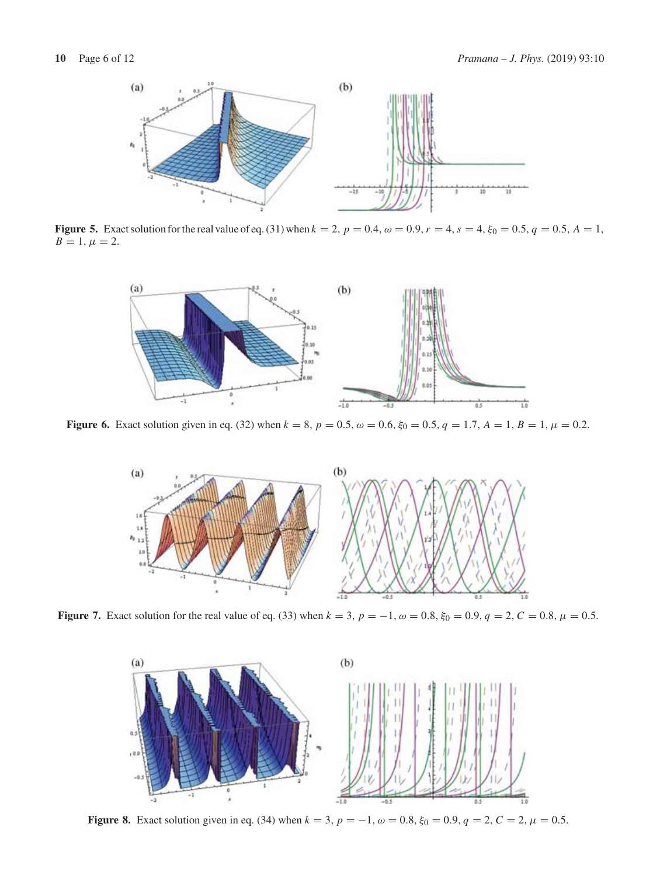

**Figure 5.** Exact solution for the real value of eq. (31) when  $k = 2$ ,  $p = 0.4$ ,  $\omega = 0.9$ ,  $r = 4$ ,  $s = 4$ ,  $\xi_0 = 0.5$ ,  $q = 0.5$ ,  $A = 1$ ,  $B = 1, \mu = 2.$ 



**Figure 6.** Exact solution given in eq. (32) when  $k = 8$ ,  $p = 0.5$ ,  $\omega = 0.6$ ,  $\xi_0 = 0.5$ ,  $q = 1.7$ ,  $A = 1$ ,  $B = 1$ ,  $\mu = 0.2$ .



**Figure 7.** Exact solution for the real value of eq. (33) when  $k = 3$ ,  $p = -1$ ,  $\omega = 0.8$ ,  $\xi_0 = 0.9$ ,  $q = 2$ ,  $C = 0.8$ ,  $\mu = 0.5$ .



**Figure 8.** Exact solution given in eq. (34) when  $k = 3$ ,  $p = -1$ ,  $\omega = 0.8$ ,  $\xi_0 = 0.9$ ,  $q = 2$ ,  $C = 2$ ,  $\mu = 0.5$ .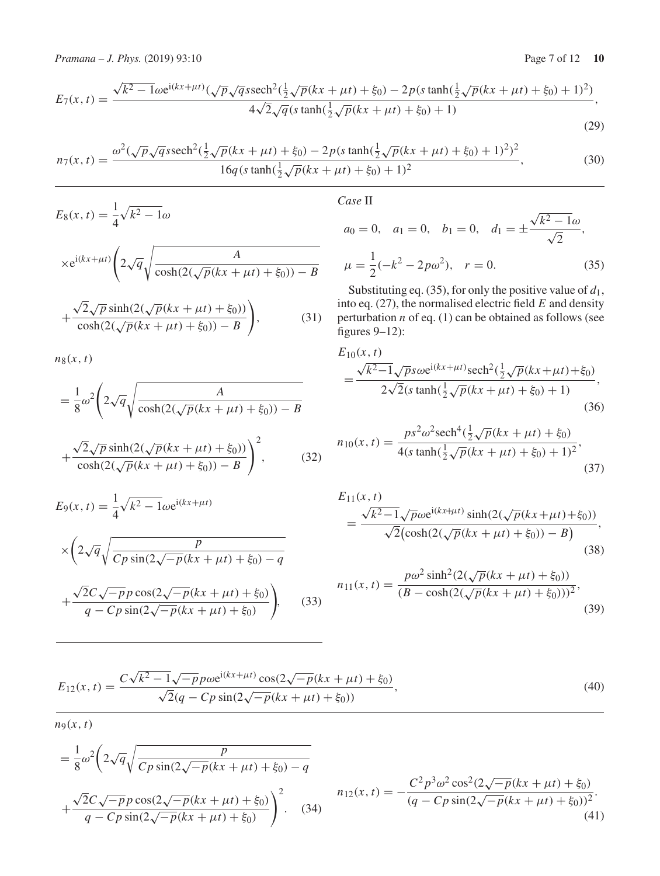*Pramana – J. Phys.* (2019) 93:10 Page 7 of 12 **10** 

$$
E_7(x,t) = \frac{\sqrt{k^2 - 1}\omega e^{i(kx + \mu t)}(\sqrt{p}\sqrt{q}\text{ssech}^2(\frac{1}{2}\sqrt{p}(kx + \mu t) + \xi_0) - 2p(s\tanh(\frac{1}{2}\sqrt{p}(kx + \mu t) + \xi_0) + 1)^2)}{4\sqrt{2}\sqrt{q}(s\tanh(\frac{1}{2}\sqrt{p}(kx + \mu t) + \xi_0) + 1)}
$$
\n(29)

$$
n_7(x,t) = \frac{\omega^2(\sqrt{p}\sqrt{q}\text{ssech}^2(\frac{1}{2}\sqrt{p}(kx + \mu t) + \xi_0) - 2p(s\tanh(\frac{1}{2}\sqrt{p}(kx + \mu t) + \xi_0) + 1)^2)^2}{16q(s\tanh(\frac{1}{2}\sqrt{p}(kx + \mu t) + \xi_0) + 1)^2},
$$
(30)

$$
E_8(x, t) = \frac{1}{4} \sqrt{k^2 - 1} \omega
$$
  
 
$$
\times e^{i(kx + \mu t)} \left( 2\sqrt{q} \sqrt{\frac{A}{\cosh(2(\sqrt{p}(kx + \mu t) + \xi_0)) - B}} + \frac{\sqrt{2}\sqrt{p} \sinh(2(\sqrt{p}(kx + \mu t) + \xi_0))}{\cosh(2(\sqrt{p}(kx + \mu t) + \xi_0)) - B} \right),
$$
 (31)

 $n_8(x, t)$ 

$$
= \frac{1}{8}\omega^2 \left(2\sqrt{q}\sqrt{\frac{A}{\cosh(2(\sqrt{p}(kx + \mu t) + \xi_0)) - B}}\right)
$$

$$
+\frac{\sqrt{2}\sqrt{p}\sinh(2(\sqrt{p}(kx+\mu t)+\xi_0))}{\cosh(2(\sqrt{p}(kx+\mu t)+\xi_0))-B}\Bigg)^2,\tag{32}
$$

$$
E_9(x, t) = \frac{1}{4} \sqrt{k^2 - 1} \omega e^{i(kx + \mu t)}
$$
  
 
$$
\times \left(2\sqrt{q} \sqrt{\frac{p}{Cp \sin(2\sqrt{-p}(kx + \mu t) + \xi_0) - q}} + \frac{\sqrt{2}C\sqrt{-p}p \cos(2\sqrt{-p}(kx + \mu t) + \xi_0)}{q - Cp \sin(2\sqrt{-p}(kx + \mu t) + \xi_0)}\right), \quad (33)
$$

$$
Case~\mathrm{II}
$$

$$
a_0 = 0
$$
,  $a_1 = 0$ ,  $b_1 = 0$ ,  $d_1 = \pm \frac{\sqrt{k^2 - 1}\omega}{\sqrt{2}}$ ,  

$$
\mu = \frac{1}{2}(-k^2 - 2p\omega^2)
$$
,  $r = 0$ . (35)

Substituting eq. (35), for only the positive value of  $d_1$ , into eq. (27), the normalised electric field *E* and density perturbation *n* of eq. (1) can be obtained as follows (see figures 9–12):

$$
E_{10}(x, t)
$$
  
= 
$$
\frac{\sqrt{k^2 - 1}\sqrt{p}s\omega e^{i(kx + \mu t)}\text{sech}^2(\frac{1}{2}\sqrt{p}(kx + \mu t) + \xi_0)}{2\sqrt{2}(s\tanh(\frac{1}{2}\sqrt{p}(kx + \mu t) + \xi_0) + 1)},
$$
(36)

$$
n_{10}(x,t) = \frac{ps^2 \omega^2 \text{sech}^4(\frac{1}{2}\sqrt{p}(kx + \mu t) + \xi_0)}{4(s \tanh(\frac{1}{2}\sqrt{p}(kx + \mu t) + \xi_0) + 1)^2},\tag{37}
$$

$$
E_{11}(x, t) = \frac{\sqrt{k^2 - 1}\sqrt{p}\omega e^{i(kx + \mu t)}\sinh(2(\sqrt{p}(kx + \mu t) + \xi_0))}{\sqrt{2}(\cosh(2(\sqrt{p}(kx + \mu t) + \xi_0)) - B)},
$$
\n(38)

$$
n_{11}(x,t) = \frac{p\omega^2 \sinh^2(2(\sqrt{p}(kx + \mu t) + \xi_0))}{(B - \cosh(2(\sqrt{p}(kx + \mu t) + \xi_0)))^2},
$$
\n(39)

$$
E_{12}(x,t) = \frac{C\sqrt{k^2 - 1}\sqrt{-p}p\omega e^{i(kx + \mu t)}\cos(2\sqrt{-p}(kx + \mu t) + \xi_0)}{\sqrt{2}(q - Cp\sin(2\sqrt{-p}(kx + \mu t) + \xi_0))},\tag{40}
$$

 $n_9(x, t)$ 

$$
= \frac{1}{8}\omega^2 \left(2\sqrt{q}\sqrt{\frac{p}{Cp\sin(2\sqrt{-p}(kx+\mu t)+\xi_0)}-q} + \frac{\sqrt{2}C\sqrt{-p}p\cos(2\sqrt{-p}(kx+\mu t)+\xi_0)}{q-Cp\sin(2\sqrt{-p}(kx+\mu t)+\xi_0)}\right)^2.
$$
\n(34)\n
$$
n_{12}(x,t) = -\frac{C^2p^3\omega^2\cos^2(2\sqrt{-p}(kx+\mu t)+\xi_0)}{(q-Cp\sin(2\sqrt{-p}(kx+\mu t)+\xi_0))^2}.
$$
\n(41)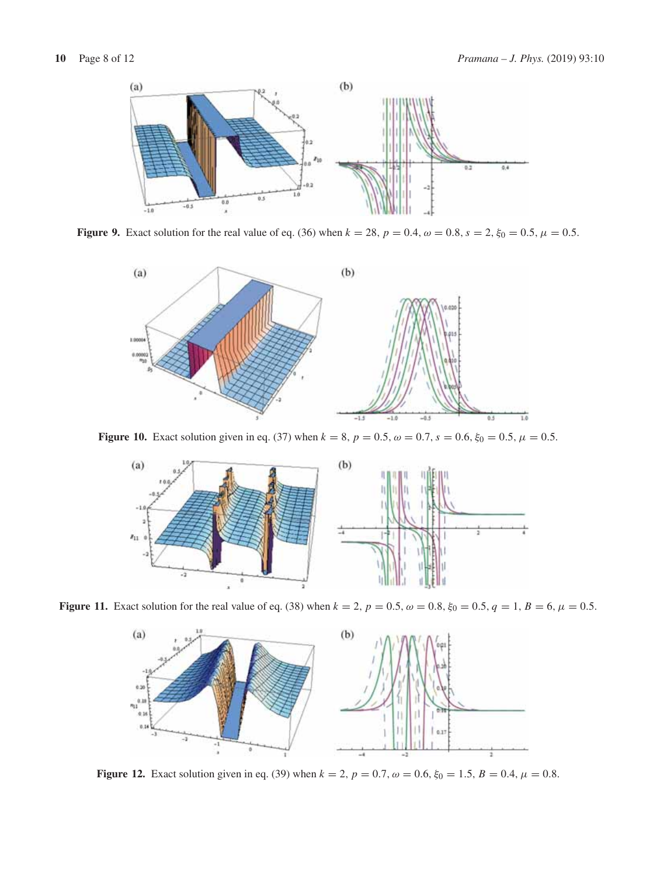

**Figure 9.** Exact solution for the real value of eq. (36) when  $k = 28$ ,  $p = 0.4$ ,  $\omega = 0.8$ ,  $s = 2$ ,  $\xi_0 = 0.5$ ,  $\mu = 0.5$ .



**Figure 10.** Exact solution given in eq. (37) when  $k = 8$ ,  $p = 0.5$ ,  $\omega = 0.7$ ,  $s = 0.6$ ,  $\xi_0 = 0.5$ ,  $\mu = 0.5$ .



**Figure 11.** Exact solution for the real value of eq. (38) when  $k = 2$ ,  $p = 0.5$ ,  $\omega = 0.8$ ,  $\xi_0 = 0.5$ ,  $q = 1$ ,  $B = 6$ ,  $\mu = 0.5$ .



**Figure 12.** Exact solution given in eq. (39) when  $k = 2$ ,  $p = 0.7$ ,  $\omega = 0.6$ ,  $\xi_0 = 1.5$ ,  $B = 0.4$ ,  $\mu = 0.8$ .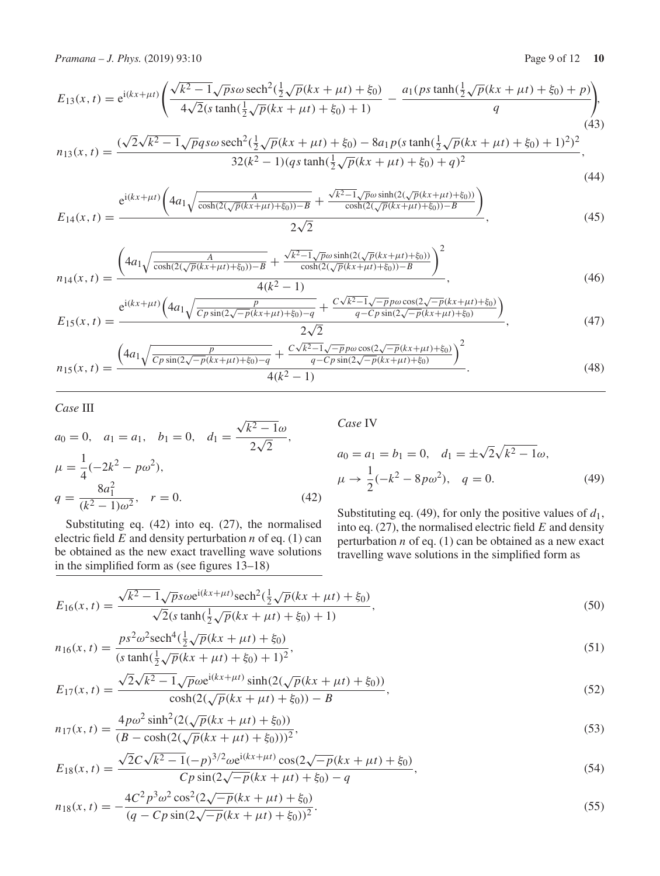*Pramana – J. Phys.* (2019) 93:10 **Page 9 of 12 10** Page 9 of 12 **10** 

$$
E_{13}(x,t) = e^{i(kx + \mu t)} \left( \frac{\sqrt{k^2 - 1}\sqrt{p}s\omega \operatorname{sech}^2(\frac{1}{2}\sqrt{p}(kx + \mu t) + \xi_0)}{4\sqrt{2}(s \tanh(\frac{1}{2}\sqrt{p}(kx + \mu t) + \xi_0) + 1)} - \frac{a_1(ps \tanh(\frac{1}{2}\sqrt{p}(kx + \mu t) + \xi_0) + p)}{q} \right),\tag{43}
$$

$$
n_{13}(x,t) = \frac{(\sqrt{2}\sqrt{k^2 - 1}\sqrt{p}q s\omega \operatorname{sech}^2(\frac{1}{2}\sqrt{p}(kx + \mu t) + \xi_0) - 8a_1 p(s \tanh(\frac{1}{2}\sqrt{p}(kx + \mu t) + \xi_0) + 1)^2)^2}{32(k^2 - 1)(qs \tanh(\frac{1}{2}\sqrt{p}(kx + \mu t) + \xi_0) + q)^2},
$$
\n(44)

$$
E_{14}(x,t) = \frac{e^{i(kx+\mu t)\left(4a_1\sqrt{\frac{A}{\cosh(2(\sqrt{p}(kx+\mu t)+\xi_0))-B}} + \frac{\sqrt{k^2-1}\sqrt{p}\omega\sinh(2(\sqrt{p}(kx+\mu t)+\xi_0))}{\cosh(2(\sqrt{p}(kx+\mu t)+\xi_0))-B}\right)}{2\sqrt{2}},
$$
(45)

$$
n_{14}(x,t) = \frac{\left(4a_1\sqrt{\frac{A}{\cosh(2(\sqrt{p}(kx+\mu t)+\xi_0))-B}} + \frac{\sqrt{k^2-1}\sqrt{p}\omega\sinh(2(\sqrt{p}(kx+\mu t)+\xi_0))}{\cosh(2(\sqrt{p}(kx+\mu t)+\xi_0))-B}\right)^2}{4(k^2-1)},
$$
\n(46)

$$
E_{15}(x,t) = \frac{e^{i(kx+\mu t)\left(4a_1\sqrt{\frac{p}{Cp\sin(2\sqrt{-p}(kx+\mu t)+\xi_0)}-q} + \frac{C\sqrt{k^2-1}\sqrt{-p}p\omega\cos(2\sqrt{-p}(kx+\mu t)+\xi_0)}{q-Cp\sin(2\sqrt{-p}(kx+\mu t)+\xi_0)}\right)}{2\sqrt{2}},
$$
(47)

$$
n_{15}(x,t) = \frac{\left(4a_1\sqrt{\frac{p}{Cp\sin(2\sqrt{-p}(kx+\mu t)+\xi_0)-q}} + \frac{C\sqrt{k^2-1}\sqrt{-p}p\omega\cos(2\sqrt{-p}(kx+\mu t)+\xi_0)}{q-Cp\sin(2\sqrt{-p}(kx+\mu t)+\xi_0)}\right)^2}{4(k^2-1)}.
$$
(48)

# *Case* III

$$
a_0 = 0, \quad a_1 = a_1, \quad b_1 = 0, \quad d_1 = \frac{\sqrt{k^2 - 1}\omega}{2\sqrt{2}},
$$
  
\n
$$
\mu = \frac{1}{4}(-2k^2 - p\omega^2),
$$
  
\n
$$
q = \frac{8a_1^2}{(k^2 - 1)\omega^2}, \quad r = 0.
$$
\n(42)

Substituting eq. (42) into eq. (27), the normalised electric field *E* and density perturbation *n* of eq. (1) can be obtained as the new exact travelling wave solutions in the simplified form as (see figures 13–18)

*Case* IV

$$
a_0 = a_1 = b_1 = 0, \quad d_1 = \pm \sqrt{2} \sqrt{k^2 - 1} \omega,
$$
  

$$
\mu \to \frac{1}{2} (-k^2 - 8p\omega^2), \quad q = 0.
$$
 (49)

Substituting eq. (49), for only the positive values of  $d_1$ , into eq. (27), the normalised electric field *E* and density perturbation *n* of eq. (1) can be obtained as a new exact travelling wave solutions in the simplified form as

$$
E_{16}(x,t) = \frac{\sqrt{k^2 - 1}\sqrt{p}s\omega e^{i(kx + \mu t)}\text{sech}^2(\frac{1}{2}\sqrt{p}(kx + \mu t) + \xi_0)}{\sqrt{2}(s\tanh(\frac{1}{2}\sqrt{p}(kx + \mu t) + \xi_0) + 1)},
$$
\n(50)

$$
n_{16}(x,t) = \frac{ps^2 \omega^2 \text{sech}^4(\frac{1}{2}\sqrt{p}(kx + \mu t) + \xi_0)}{(s \tanh(\frac{1}{2}\sqrt{p}(kx + \mu t) + \xi_0) + 1)^2},
$$
\n(51)

$$
E_{17}(x,t) = \frac{\sqrt{2}\sqrt{k^2 - 1}\sqrt{p}\omega e^{i(kx + \mu t)}\sinh(2(\sqrt{p}(kx + \mu t) + \xi_0))}{\cosh(2(\sqrt{p}(kx + \mu t) + \xi_0)) - B},
$$
\n(52)

$$
n_{17}(x,t) = \frac{4p\omega^2 \sinh^2(2(\sqrt{p}(kx + \mu t) + \xi_0))}{(B - \cosh(2(\sqrt{p}(kx + \mu t) + \xi_0)))^2},
$$
\n(53)

$$
E_{18}(x,t) = \frac{\sqrt{2}C\sqrt{k^2 - 1}(-p)^{3/2}\omega e^{i(kx + \mu t)}\cos(2\sqrt{-p}(kx + \mu t) + \xi_0)}{Cp\sin(2\sqrt{-p}(kx + \mu t) + \xi_0) - q},
$$
\n(54)

$$
n_{18}(x,t) = -\frac{4C^2p^3\omega^2\cos^2(2\sqrt{-p}(kx+\mu t) + \xi_0)}{(q-Cp\sin(2\sqrt{-p}(kx+\mu t) + \xi_0))^2}.
$$
\n(55)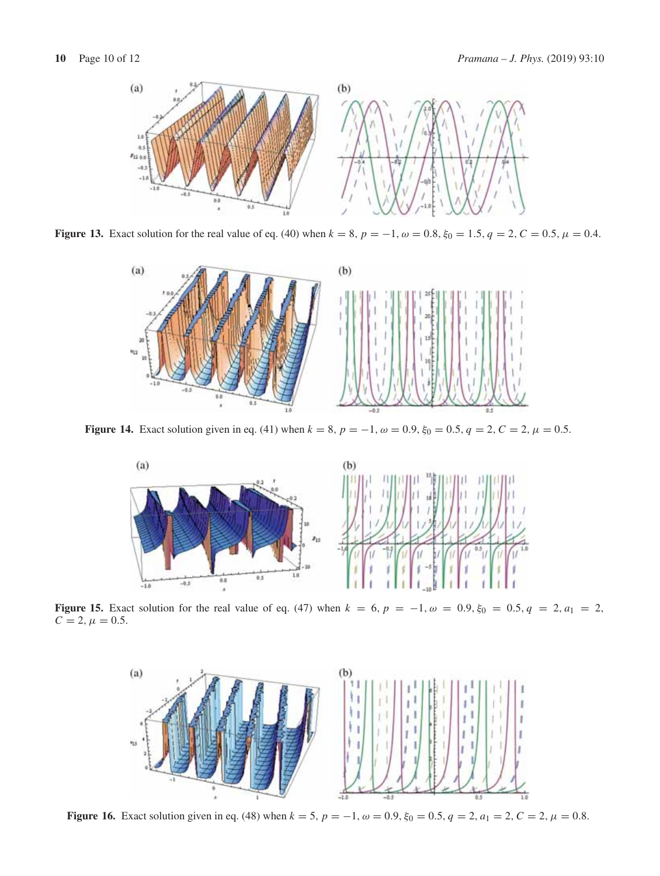

**Figure 13.** Exact solution for the real value of eq. (40) when  $k = 8$ ,  $p = -1$ ,  $\omega = 0.8$ ,  $\xi_0 = 1.5$ ,  $q = 2$ ,  $C = 0.5$ ,  $\mu = 0.4$ .



**Figure 14.** Exact solution given in eq. (41) when  $k = 8$ ,  $p = -1$ ,  $\omega = 0.9$ ,  $\xi_0 = 0.5$ ,  $q = 2$ ,  $C = 2$ ,  $\mu = 0.5$ .



**Figure 15.** Exact solution for the real value of eq. (47) when  $k = 6$ ,  $p = -1$ ,  $\omega = 0.9$ ,  $\xi_0 = 0.5$ ,  $q = 2$ ,  $a_1 = 2$ ,  $C = 2, \mu = 0.5.$ 



**Figure 16.** Exact solution given in eq. (48) when  $k = 5$ ,  $p = -1$ ,  $\omega = 0.9$ ,  $\xi_0 = 0.5$ ,  $q = 2$ ,  $a_1 = 2$ ,  $C = 2$ ,  $\mu = 0.8$ .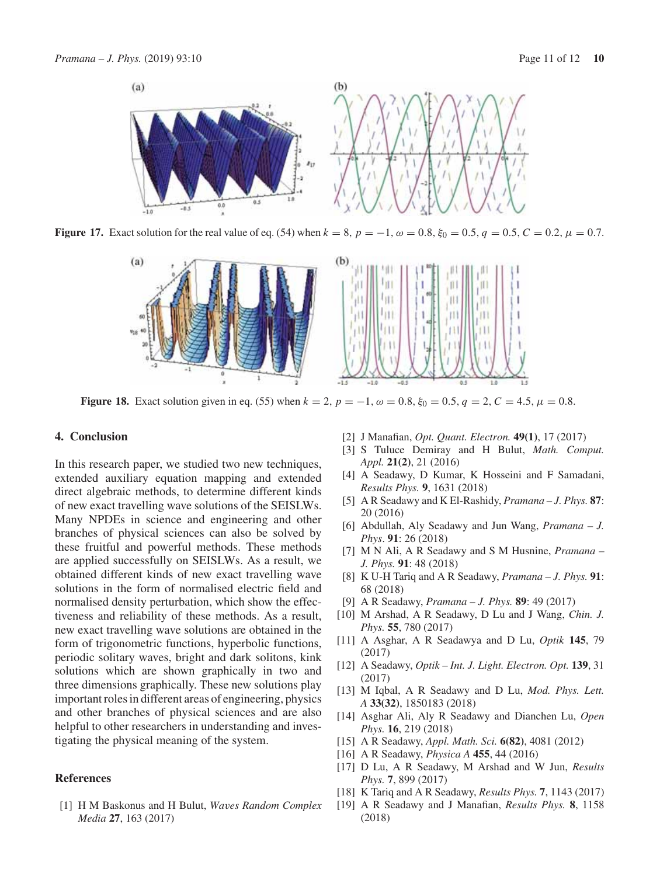

**Figure 17.** Exact solution for the real value of eq. (54) when  $k = 8$ ,  $p = -1$ ,  $\omega = 0.8$ ,  $\xi_0 = 0.5$ ,  $q = 0.5$ ,  $C = 0.2$ ,  $\mu = 0.7$ .



**Figure 18.** Exact solution given in eq. (55) when  $k = 2$ ,  $p = -1$ ,  $\omega = 0.8$ ,  $\xi_0 = 0.5$ ,  $q = 2$ ,  $C = 4.5$ ,  $\mu = 0.8$ .

## **4. Conclusion**

In this research paper, we studied two new techniques, extended auxiliary equation mapping and extended direct algebraic methods, to determine different kinds of new exact travelling wave solutions of the SEISLWs. Many NPDEs in science and engineering and other branches of physical sciences can also be solved by these fruitful and powerful methods. These methods are applied successfully on SEISLWs. As a result, we obtained different kinds of new exact travelling wave solutions in the form of normalised electric field and normalised density perturbation, which show the effectiveness and reliability of these methods. As a result, new exact travelling wave solutions are obtained in the form of trigonometric functions, hyperbolic functions, periodic solitary waves, bright and dark solitons, kink solutions which are shown graphically in two and three dimensions graphically. These new solutions play important roles in different areas of engineering, physics and other branches of physical sciences and are also helpful to other researchers in understanding and investigating the physical meaning of the system.

### **References**

[1] H M Baskonus and H Bulut, *Waves Random Complex Media* **27**, 163 (2017)

- [2] J Manafian, *Opt. Quant. Electron.* **49(1)**, 17 (2017)
- [3] S Tuluce Demiray and H Bulut, *Math. Comput. Appl.* **21(2)**, 21 (2016)
- [4] A Seadawy, D Kumar, K Hosseini and F Samadani, *Results Phys.* **9**, 1631 (2018)
- [5] A R Seadawy and K El-Rashidy, *Pramana J. Phys.* **87**: 20 (2016)
- [6] Abdullah, Aly Seadawy and Jun Wang, *Pramana J. Phys*. **91**: 26 (2018)
- [7] M N Ali, A R Seadawy and S M Husnine, *Pramana – J. Phys.* **91**: 48 (2018)
- [8] K U-H Tariq and A R Seadawy, *Pramana J. Phys.* **91**: 68 (2018)
- [9] A R Seadawy, *Pramana J. Phys.* **89**: 49 (2017)
- [10] M Arshad, A R Seadawy, D Lu and J Wang, *Chin. J. Phys.* **55**, 780 (2017)
- [11] A Asghar, A R Seadawya and D Lu, *Optik* **145**, 79 (2017)
- [12] A Seadawy, *Optik Int. J. Light. Electron. Opt.* **139**, 31 (2017)
- [13] M Iqbal, A R Seadawy and D Lu, *Mod. Phys. Lett. A* **33(32)**, 1850183 (2018)
- [14] Asghar Ali, Aly R Seadawy and Dianchen Lu, *Open Phys.* **16**, 219 (2018)
- [15] A R Seadawy, *Appl. Math. Sci.* **6(82)**, 4081 (2012)
- [16] A R Seadawy, *Physica A* **455**, 44 (2016)
- [17] D Lu, A R Seadawy, M Arshad and W Jun, *Results Phys.* **7**, 899 (2017)
- [18] K Tariq and A R Seadawy, *Results Phys.* **7**, 1143 (2017)
- [19] A R Seadawy and J Manafian, *Results Phys.* **8**, 1158 (2018)